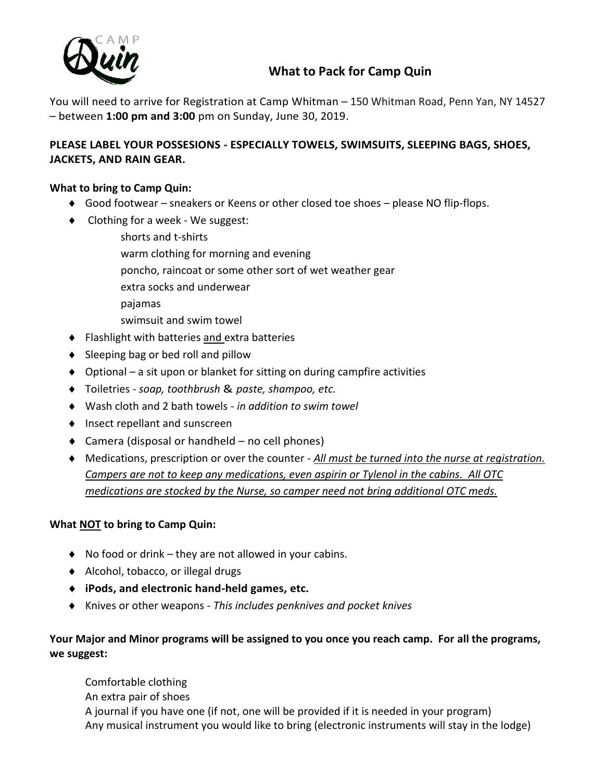

## **What to Pack for Camp Quin**

You will need to arrive for Registration at Camp Whitman – 150 Whitman Road, Penn Yan, NY 14527 – between **1:00 pm and 3:00** pm on Sunday, June 30, 2019.

### **PLEASE LABEL YOUR POSSESIONS - ESPECIALLY TOWELS, SWIMSUITS, SLEEPING BAGS, SHOES, JACKETS, AND RAIN GEAR.**

#### **What to bring to Camp Quin:**

- Good footwear sneakers or Keens or other closed toe shoes please NO flip-flops.
- ◆ Clothing for a week We suggest:

shorts and t-shirts warm clothing for morning and evening poncho, raincoat or some other sort of wet weather gear extra socks and underwear pajamas swimsuit and swim towel ◆ Flashlight with batteries and extra batteries

- $\bullet$  Sleeping bag or bed roll and pillow
- $\bullet$  Optional a sit upon or blanket for sitting on during campfire activities
- Toiletries *soap, toothbrush* & *paste, shampoo, etc.*
- Wash cloth and 2 bath towels *in addition to swim towel*
- ◆ Insect repellant and sunscreen
- $\triangleleft$  Camera (disposal or handheld no cell phones)
- Medications, prescription or over the counter *All must be turned into the nurse at registration. Campers are not to keep any medications, even aspirin or Tylenol in the cabins. All OTC medications are stocked by the Nurse, so camper need not bring additional OTC meds.*

#### **What NOT to bring to Camp Quin:**

- $\bullet$  No food or drink they are not allowed in your cabins.
- ◆ Alcohol, tobacco, or illegal drugs
- **iPods, and electronic hand-held games, etc.**
- Knives or other weapons *This includes penknives and pocket knives*

### **Your Major and Minor programs will be assigned to you once you reach camp. For all the programs, we suggest:**

Comfortable clothing An extra pair of shoes A journal if you have one (if not, one will be provided if it is needed in your program) Any musical instrument you would like to bring (electronic instruments will stay in the lodge)